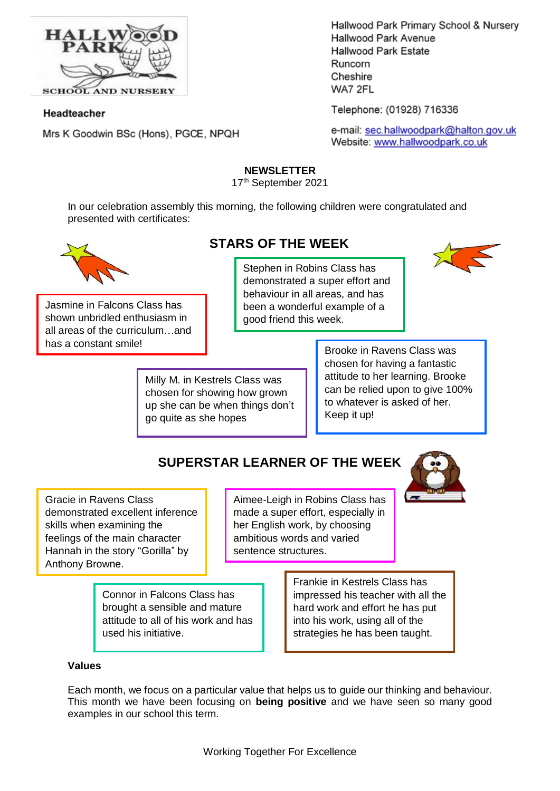

## Headteacher

Mrs K Goodwin BSc (Hons), PGCE, NPQH

Hallwood Park Primary School & Nursery Hallwood Park Avenue Hallwood Park Estate Runcorn Cheshire WA7 2FL

Telephone: (01928) 716336

e-mail: sec.hallwoodpark@halton.gov.uk Website: www.hallwoodpark.co.uk

## **NEWSLETTER**

17th September 2021

In our celebration assembly this morning, the following children were congratulated and presented with certificates:



Jasmine in Falcons Class has shown unbridled enthusiasm in all areas of the curriculum…and has a constant smile!<br>
Brooke in Ravens Class was

## **STARS OF THE WEEK**

Stephen in Robins Class has demonstrated a super effort and behaviour in all areas, and has been a wonderful example of a good friend this week.

Milly M. in Kestrels Class was chosen for showing how grown up she can be when things don't go quite as she hopes

chosen for having a fantastic attitude to her learning. Brooke can be relied upon to give 100% to whatever is asked of her. Keep it up!

# **SUPERSTAR LEARNER OF THE WEEK**

Gracie in Ravens Class demonstrated excellent inference skills when examining the feelings of the main character Hannah in the story "Gorilla" by Anthony Browne.

Aimee-Leigh in Robins Class has made a super effort, especially in her English work, by choosing ambitious words and varied sentence structures.

Connor in Falcons Class has brought a sensible and mature attitude to all of his work and has used his initiative.

Frankie in Kestrels Class has impressed his teacher with all the hard work and effort he has put into his work, using all of the strategies he has been taught.

#### **Values**

Each month, we focus on a particular value that helps us to guide our thinking and behaviour. This month we have been focusing on **being positive** and we have seen so many good examples in our school this term.